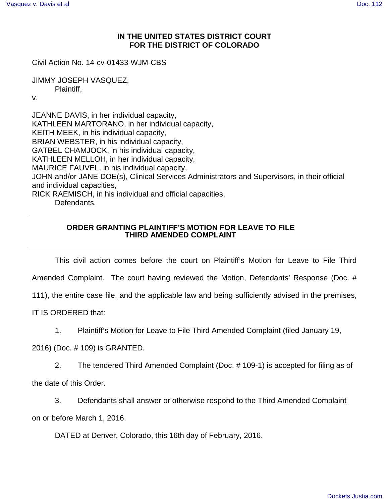## **IN THE UNITED STATES DISTRICT COURT FOR THE DISTRICT OF COLORADO**

Civil Action No. 14-cv-01433-WJM-CBS

JIMMY JOSEPH VASQUEZ, Plaintiff,

v.

JEANNE DAVIS, in her individual capacity, KATHLEEN MARTORANO, in her individual capacity, KEITH MEEK, in his individual capacity, BRIAN WEBSTER, in his individual capacity, GATBEL CHAMJOCK, in his individual capacity, KATHLEEN MELLOH, in her individual capacity, MAURICE FAUVEL, in his individual capacity, JOHN and/or JANE DOE(s), Clinical Services Administrators and Supervisors, in their official and individual capacities, RICK RAEMISCH, in his individual and official capacities, Defendants.

## **ORDER GRANTING PLAINTIFF'S MOTION FOR LEAVE TO FILE THIRD AMENDED COMPLAINT**

This civil action comes before the court on Plaintiff's Motion for Leave to File Third

Amended Complaint. The court having reviewed the Motion, Defendants' Response (Doc. #

111), the entire case file, and the applicable law and being sufficiently advised in the premises,

IT IS ORDERED that:

1. Plaintiff's Motion for Leave to File Third Amended Complaint (filed January 19,

2016) (Doc. # 109) is GRANTED.

2. The tendered Third Amended Complaint (Doc. # 109-1) is accepted for filing as of

the date of this Order.

3. Defendants shall answer or otherwise respond to the Third Amended Complaint on or before March 1, 2016.

DATED at Denver, Colorado, this 16th day of February, 2016.